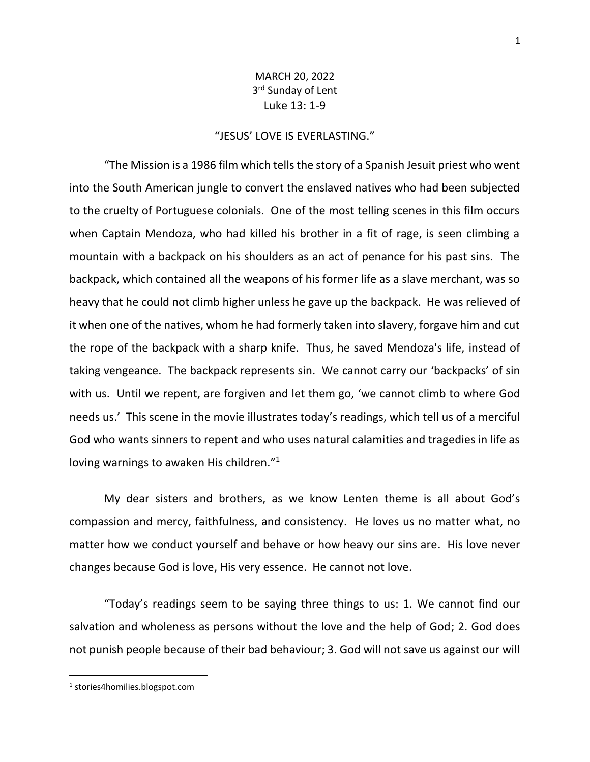## MARCH 20, 2022 3<sup>rd</sup> Sunday of Lent Luke 13: 1-9

## "JESUS' LOVE IS EVERLASTING."

"The Mission is a 1986 film which tells the story of a Spanish Jesuit priest who went into the South American jungle to convert the enslaved natives who had been subjected to the cruelty of Portuguese colonials. One of the most telling scenes in this film occurs when Captain Mendoza, who had killed his brother in a fit of rage, is seen climbing a mountain with a backpack on his shoulders as an act of penance for his past sins. The backpack, which contained all the weapons of his former life as a slave merchant, was so heavy that he could not climb higher unless he gave up the backpack. He was relieved of it when one of the natives, whom he had formerly taken into slavery, forgave him and cut the rope of the backpack with a sharp knife. Thus, he saved Mendoza's life, instead of taking vengeance. The backpack represents sin. We cannot carry our 'backpacks' of sin with us. Until we repent, are forgiven and let them go, 'we cannot climb to where God needs us.' This scene in the movie illustrates today's readings, which tell us of a merciful God who wants sinners to repent and who uses natural calamities and tragedies in life as loving warnings to awaken His children."<sup>1</sup>

My dear sisters and brothers, as we know Lenten theme is all about God's compassion and mercy, faithfulness, and consistency. He loves us no matter what, no matter how we conduct yourself and behave or how heavy our sins are. His love never changes because God is love, His very essence. He cannot not love.

"Today's readings seem to be saying three things to us: 1. We cannot find our salvation and wholeness as persons without the love and the help of God; 2. God does not punish people because of their bad behaviour; 3. God will not save us against our will

<sup>1</sup> stories4homilies.blogspot.com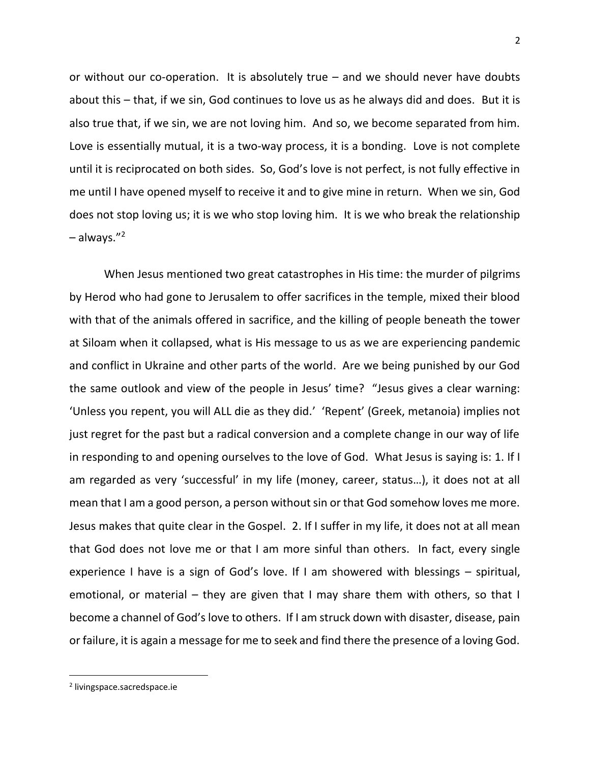or without our co-operation. It is absolutely true – and we should never have doubts about this – that, if we sin, God continues to love us as he always did and does. But it is also true that, if we sin, we are not loving him. And so, we become separated from him. Love is essentially mutual, it is a two-way process, it is a bonding. Love is not complete until it is reciprocated on both sides. So, God's love is not perfect, is not fully effective in me until I have opened myself to receive it and to give mine in return. When we sin, God does not stop loving us; it is we who stop loving him. It is we who break the relationship – always." 2

When Jesus mentioned two great catastrophes in His time: the murder of pilgrims by Herod who had gone to Jerusalem to offer sacrifices in the temple, mixed their blood with that of the animals offered in sacrifice, and the killing of people beneath the tower at Siloam when it collapsed, what is His message to us as we are experiencing pandemic and conflict in Ukraine and other parts of the world. Are we being punished by our God the same outlook and view of the people in Jesus' time? "Jesus gives a clear warning: 'Unless you repent, you will ALL die as they did.' 'Repent' (Greek, metanoia) implies not just regret for the past but a radical conversion and a complete change in our way of life in responding to and opening ourselves to the love of God. What Jesus is saying is: 1. If I am regarded as very 'successful' in my life (money, career, status…), it does not at all mean that I am a good person, a person without sin or that God somehow loves me more. Jesus makes that quite clear in the Gospel. 2. If I suffer in my life, it does not at all mean that God does not love me or that I am more sinful than others. In fact, every single experience I have is a sign of God's love. If I am showered with blessings – spiritual, emotional, or material – they are given that I may share them with others, so that I become a channel of God's love to others. If I am struck down with disaster, disease, pain or failure, it is again a message for me to seek and find there the presence of a loving God.

2

<sup>2</sup> livingspace.sacredspace.ie